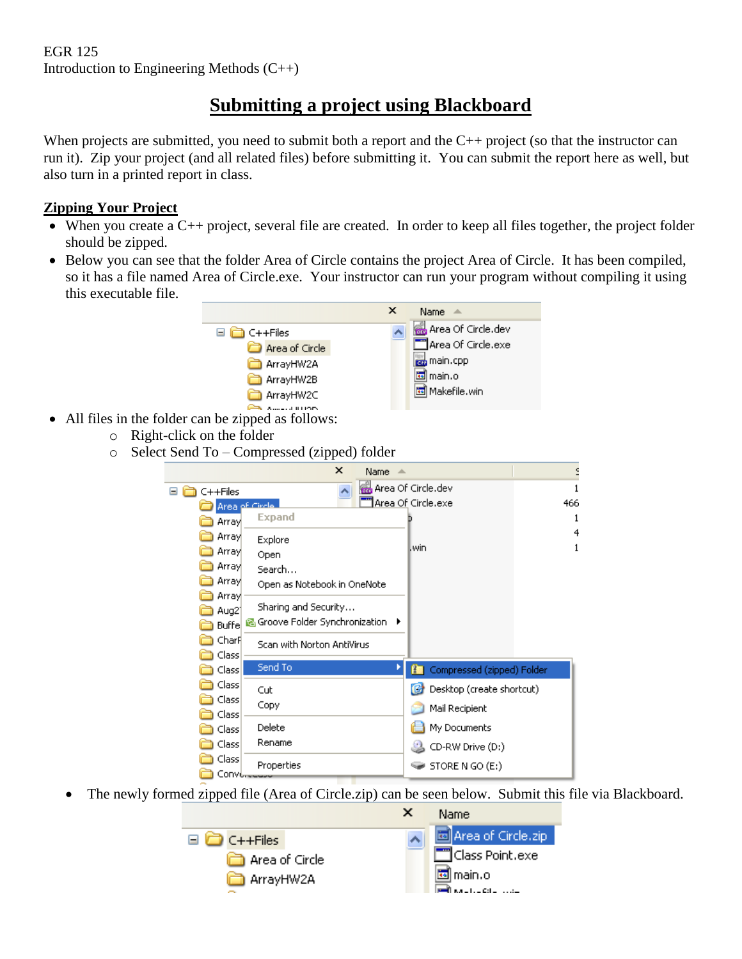# **Submitting a project using Blackboard**

When projects are submitted, you need to submit both a report and the C++ project (so that the instructor can run it). Zip your project (and all related files) before submitting it. You can submit the report here as well, but also turn in a printed report in class.

# **Zipping Your Project**

- When you create a  $C_{++}$  project, several file are created. In order to keep all files together, the project folder should be zipped.
- Below you can see that the folder Area of Circle contains the project Area of Circle. It has been compiled, so it has a file named Area of Circle.exe. Your instructor can run your program without compiling it using this executable file.



- All files in the folder can be zipped as follows:
	- o Right-click on the folder
	- o Select Send To Compressed (zipped) folder



The newly formed zipped file (Area of Circle.zip) can be seen below. Submit this file via Blackboard.

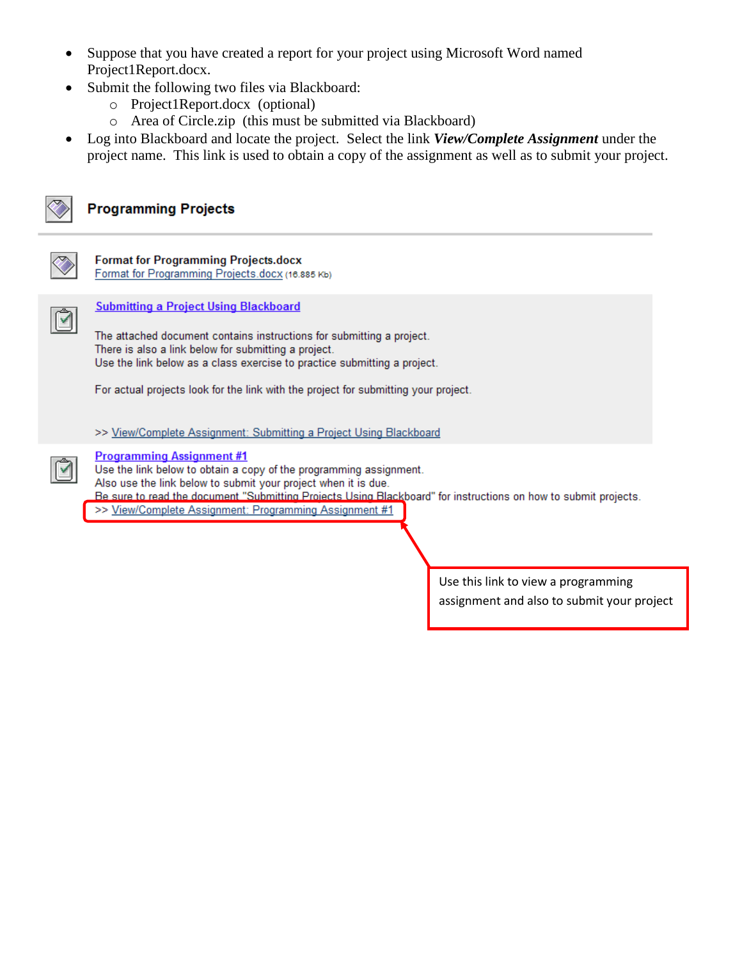- Suppose that you have created a report for your project using Microsoft Word named Project1Report.docx.
- Submit the following two files via Blackboard:
	- o Project1Report.docx (optional)
	- o Area of Circle.zip (this must be submitted via Blackboard)
- Log into Blackboard and locate the project. Select the link *View/Complete Assignment* under the project name. This link is used to obtain a copy of the assignment as well as to submit your project.



## **Programming Projects**



#### **Format for Programming Projects.docx**

Format for Programming Projects.docx (16.885 Kb)



⊺⊽

### **Submitting a Project Using Blackboard**

The attached document contains instructions for submitting a project. There is also a link below for submitting a project. Use the link below as a class exercise to practice submitting a project.

For actual projects look for the link with the project for submitting your project.

#### >> View/Complete Assignment: Submitting a Project Using Blackboard

#### **Programming Assignment #1**

Use the link below to obtain a copy of the programming assignment. Also use the link below to submit your project when it is due. Be sure to read the document "Submitting Projects Using Blackboard" for instructions on how to submit projects.

>> View/Complete Assignment: Programming Assignment #1

Use this link to view a programming assignment and also to submit your project